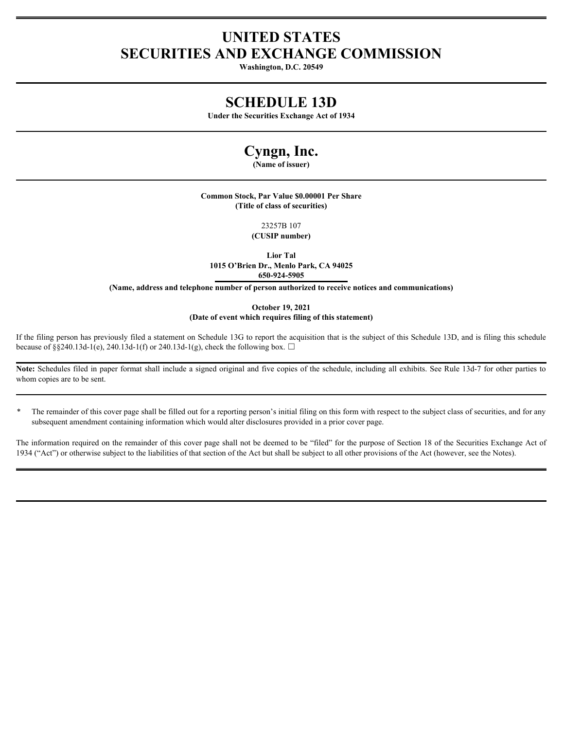# **UNITED STATES SECURITIES AND EXCHANGE COMMISSION**

**Washington, D.C. 20549**

# **SCHEDULE 13D**

**Under the Securities Exchange Act of 1934**

# **Cyngn, Inc.**

**(Name of issuer)**

**Common Stock, Par Value \$0.00001 Per Share (Title of class of securities)**

> 23257B 107 **(CUSIP number)**

**Lior Tal 1015 O'Brien Dr., Menlo Park, CA 94025 650-924-5905**

**(Name, address and telephone number of person authorized to receive notices and communications)**

**October 19, 2021**

#### **(Date of event which requires filing of this statement)**

If the filing person has previously filed a statement on Schedule 13G to report the acquisition that is the subject of this Schedule 13D, and is filing this schedule because of §§240.13d-1(e), 240.13d-1(f) or 240.13d-1(g), check the following box.  $\Box$ 

**Note:** Schedules filed in paper format shall include a signed original and five copies of the schedule, including all exhibits. See Rule 13d-7 for other parties to whom copies are to be sent.

\* The remainder of this cover page shall be filled out for a reporting person's initial filing on this form with respect to the subject class of securities, and for any subsequent amendment containing information which would alter disclosures provided in a prior cover page.

The information required on the remainder of this cover page shall not be deemed to be "filed" for the purpose of Section 18 of the Securities Exchange Act of 1934 ("Act") or otherwise subject to the liabilities of that section of the Act but shall be subject to all other provisions of the Act (however, see the Notes).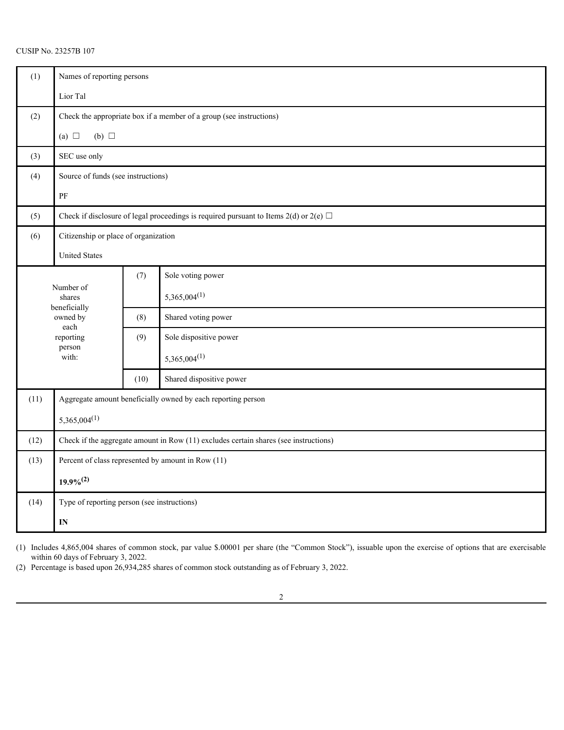## CUSIP No. 23257B 107

| (1)  | Names of reporting persons                                                                 |      |                          |  |  |  |  |
|------|--------------------------------------------------------------------------------------------|------|--------------------------|--|--|--|--|
|      | Lior Tal                                                                                   |      |                          |  |  |  |  |
| (2)  | Check the appropriate box if a member of a group (see instructions)                        |      |                          |  |  |  |  |
|      | (a) $\Box$<br>(b) $\Box$                                                                   |      |                          |  |  |  |  |
| (3)  | SEC use only                                                                               |      |                          |  |  |  |  |
| (4)  | Source of funds (see instructions)                                                         |      |                          |  |  |  |  |
|      | $\rm PF$                                                                                   |      |                          |  |  |  |  |
| (5)  | Check if disclosure of legal proceedings is required pursuant to Items 2(d) or 2(e) $\Box$ |      |                          |  |  |  |  |
| (6)  | Citizenship or place of organization                                                       |      |                          |  |  |  |  |
|      | <b>United States</b>                                                                       |      |                          |  |  |  |  |
|      | Number of                                                                                  | (7)  | Sole voting power        |  |  |  |  |
|      | shares<br>beneficially<br>owned by<br>each<br>reporting<br>person<br>with:                 |      | $5,365,004^{(1)}$        |  |  |  |  |
|      |                                                                                            | (8)  | Shared voting power      |  |  |  |  |
|      |                                                                                            | (9)  | Sole dispositive power   |  |  |  |  |
|      |                                                                                            |      | $5,365,004^{(1)}$        |  |  |  |  |
|      |                                                                                            | (10) | Shared dispositive power |  |  |  |  |
| (11) | Aggregate amount beneficially owned by each reporting person                               |      |                          |  |  |  |  |
|      | $5,365,004^{(1)}$                                                                          |      |                          |  |  |  |  |
| (12) | Check if the aggregate amount in Row (11) excludes certain shares (see instructions)       |      |                          |  |  |  |  |
| (13) | Percent of class represented by amount in Row (11)                                         |      |                          |  |  |  |  |
|      | $19.9\%^{(2)}$                                                                             |      |                          |  |  |  |  |
| (14) | Type of reporting person (see instructions)                                                |      |                          |  |  |  |  |
|      | $\mathbf{IN}$                                                                              |      |                          |  |  |  |  |
|      |                                                                                            |      |                          |  |  |  |  |

(1) Includes 4,865,004 shares of common stock, par value \$.00001 per share (the "Common Stock"), issuable upon the exercise of options that are exercisable within 60 days of February 3, 2022.

(2) Percentage is based upon 26,934,285 shares of common stock outstanding as of February 3, 2022.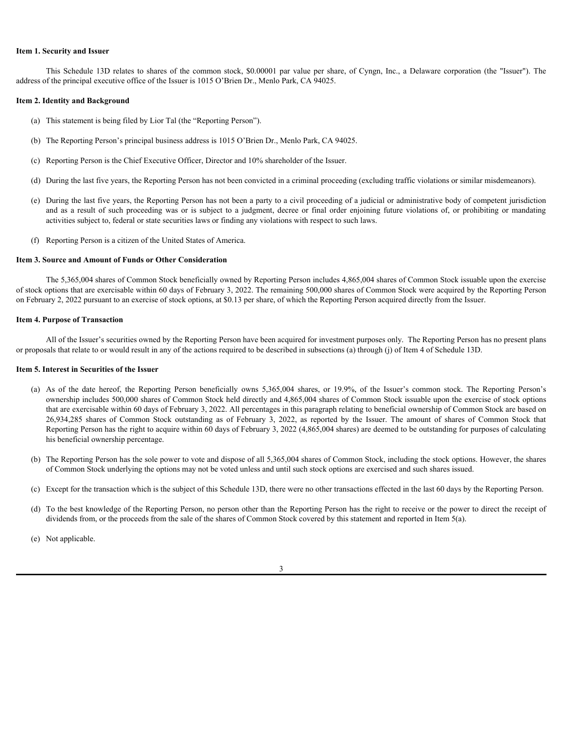#### **Item 1. Security and Issuer**

This Schedule 13D relates to shares of the common stock, \$0.00001 par value per share, of Cyngn, Inc., a Delaware corporation (the "Issuer"). The<br>This Schedule 13D relates to shares of the common stock, \$0.00001 par value address of the principal executive office of the Issuer is 1015 O'Brien Dr., Menlo Park, CA 94025.

#### **Item 2. Identity and Background**

- (a) This statement is being filed by Lior Tal (the "Reporting Person").
- (b) The Reporting Person's principal business address is 1015 O'Brien Dr., Menlo Park, CA 94025.
- (c) Reporting Person is the Chief Executive Officer, Director and 10% shareholder of the Issuer.
- (d) During the last five years, the Reporting Person has not been convicted in a criminal proceeding (excluding traffic violations or similar misdemeanors).
- (e) During the last five years, the Reporting Person has not been a party to a civil proceeding of a judicial or administrative body of competent jurisdiction Eventity and Issuer<br>This Schedule 13D relates to dhares of the common stock, \$0.00001 par value per share, of Cynga, Inc., a Delaware corporation (the "Issuer"). The<br>This principal executive office of the Issuer is 1015 O' activities subject to, federal or state securities laws or finding any violations with respect to such laws.
- (f) Reporting Person is a citizen of the United States of America.

#### **Item 3. Source and Amount of Funds or Other Consideration**

The 5,365,004 shares of Common Stock beneficially owned by Reporting Person includes 4,865,004 shares of Common Stock issuable upon the exercise of stock options that are exercisable within 60 days of February 3, 2022. The remaining 500,000 shares of Common Stock were acquired by the Reporting Person on February 2, 2022 pursuant to an exercise of stock options, at \$0.13 per share, of which the Reporting Person acquired directly from the Issuer.

#### **Item 4. Purpose of Transaction**

All of the Issuer's securities owned by the Reporting Person have been acquired for investment purposes only. The Reporting Person has no present plans or proposals that relate to or would result in any of the actions required to be described in subsections (a) through (j) of Item 4 of Schedule 13D.

#### **Item 5. Interest in Securities of the Issuer**

- (a) This statement is being filed by I for Tal (the "Reporting Person").<br>
(a) This statement is being filed by I for Tal (the "Reporting Person").<br>
(c) Dring the Las for years, the Reporting Person has not been a report by ownership includes 500,000 shares of Common Stock held directly and 4,865,004 shares of Common Stock issuable upon the exercise of stock options that are exercisable within 60 days of February 3, 2022. All percentages in this paragraph relating to beneficial ownership of Common Stock are based on This statement is being filed by Liot Tai (the "Reporting Person").<br>The Reporting Person's principal business address is 1015 O'Bicen Dr. Metho Park, CA 94025.<br>
The Reporting Person is the Colemn to The Common For Stock as Reporting Person has the right to acquire within 60 days of February 3, 2022 (4,865,004 shares) are deemed to be outstanding for purposes of calculating his beneficial ownership percentage.
- (b) The Reporting Person has the sole power to vote and dispose of all 5,365,004 shares of Common Stock, including the stock options. However, the shares of Common Stock underlying the options may not be voted unless and until such stock options are exercised and such shares issued.
- (c) Except for the transaction which is the subject of this Schedule 13D, there were no other transactions effected in the last 60 days by the Reporting Person.
- (d) To the best knowledge of the Reporting Person, no person other than the Reporting Person has the right to receive or the power to direct the receipt of dividends from, or the proceeds from the sale of the shares of Common Stock covered by this statement and reported in Item 5(a).
- (e) Not applicable.

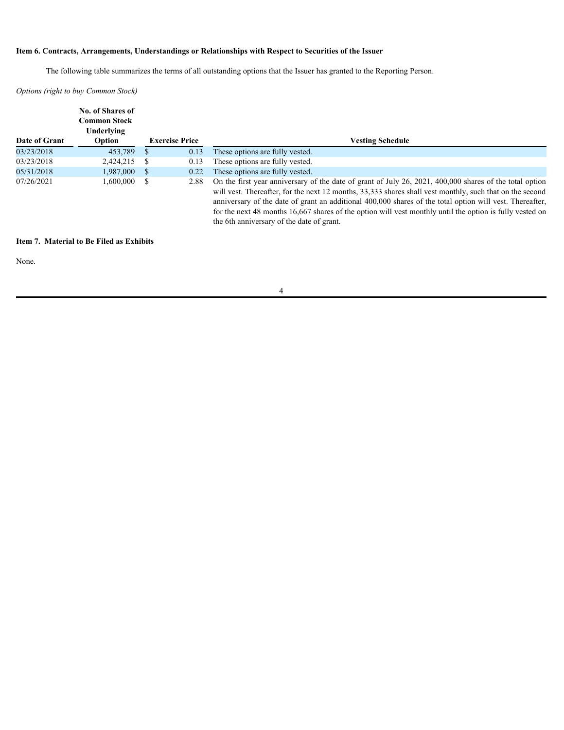### **Item 6. Contracts, Arrangements, Understandings or Relationships with Respect to Securities of the Issuer**

The following table summarizes the terms of all outstanding options that the Issuer has granted to the Reporting Person.

*Options (right to buy Common Stock)*

|               | <b>No. of Shares of</b><br>Common Stock<br>Underlying |                       |      |                                                                                                          |
|---------------|-------------------------------------------------------|-----------------------|------|----------------------------------------------------------------------------------------------------------|
| Date of Grant | Option                                                | <b>Exercise Price</b> |      | <b>Vesting Schedule</b>                                                                                  |
| 03/23/2018    | 453.789 \$                                            |                       | 0.13 | These options are fully vested.                                                                          |
| 03/23/2018    | 2.424.215 \$                                          |                       | 0.13 | These options are fully vested.                                                                          |
| 05/31/2018    | $1,987,000$ \$                                        |                       | 0.22 | These options are fully vested.                                                                          |
| 07/26/2021    | $1,600,000$ \$                                        |                       | 2.88 | On the first year anniversary of the date of grant of July 26, 2021, 400,000 shares of the total option  |
|               |                                                       |                       |      | will vest. Thereafter, for the next 12 months, 33,333 shares shall vest monthly, such that on the second |
|               |                                                       |                       |      | anniversary of the date of grant an additional 400,000 shares of the total option will vest. Thereafter, |

the 6th anniversary of the date of grant.

for the next 48 months 16,667 shares of the option will vest monthly until the option is fully vested on

#### **Item 7. Material to Be Filed as Exhibits**

None.

4